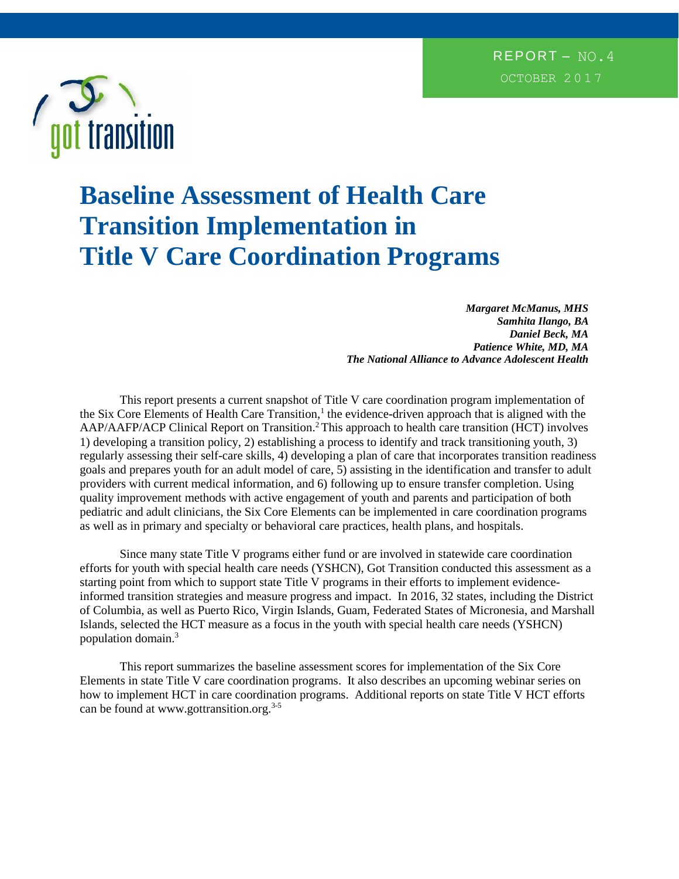

# **Baseline Assessment of Health Care Transition Implementation in Title V Care Coordination Programs**

*Margaret McManus, MHS Samhita Ilango, BA Daniel Beck, MA Patience White, MD, MA The National Alliance to Advance Adolescent Health*

This report presents a current snapshot of Title V care coordination program implementation of the Six Core Elements of Health Care Transition,<sup>1</sup> the evidence-driven approach that is aligned with the AAP/AAFP/ACP Clinical Report on Transition.<sup>2</sup>This approach to health care transition (HCT) involves 1) developing a transition policy, 2) establishing a process to identify and track transitioning youth, 3) regularly assessing their self-care skills, 4) developing a plan of care that incorporates transition readiness goals and prepares youth for an adult model of care, 5) assisting in the identification and transfer to adult providers with current medical information, and 6) following up to ensure transfer completion. Using quality improvement methods with active engagement of youth and parents and participation of both pediatric and adult clinicians, the Six Core Elements can be implemented in care coordination programs as well as in primary and specialty or behavioral care practices, health plans, and hospitals.

Since many state Title V programs either fund or are involved in statewide care coordination efforts for youth with special health care needs (YSHCN), Got Transition conducted this assessment as a starting point from which to support state Title V programs in their efforts to implement evidenceinformed transition strategies and measure progress and impact. In 2016, 32 states, including the District of Columbia, as well as Puerto Rico, Virgin Islands, Guam, Federated States of Micronesia, and Marshall Islands, selected the HCT measure as a focus in the youth with special health care needs (YSHCN) population domain.<sup>3</sup>

This report summarizes the baseline assessment scores for implementation of the Six Core Elements in state Title V care coordination programs. It also describes an upcoming webinar series on how to implement HCT in care coordination programs. Additional reports on state Title V HCT efforts can be found at www.gottransition.org.<sup>3-5</sup>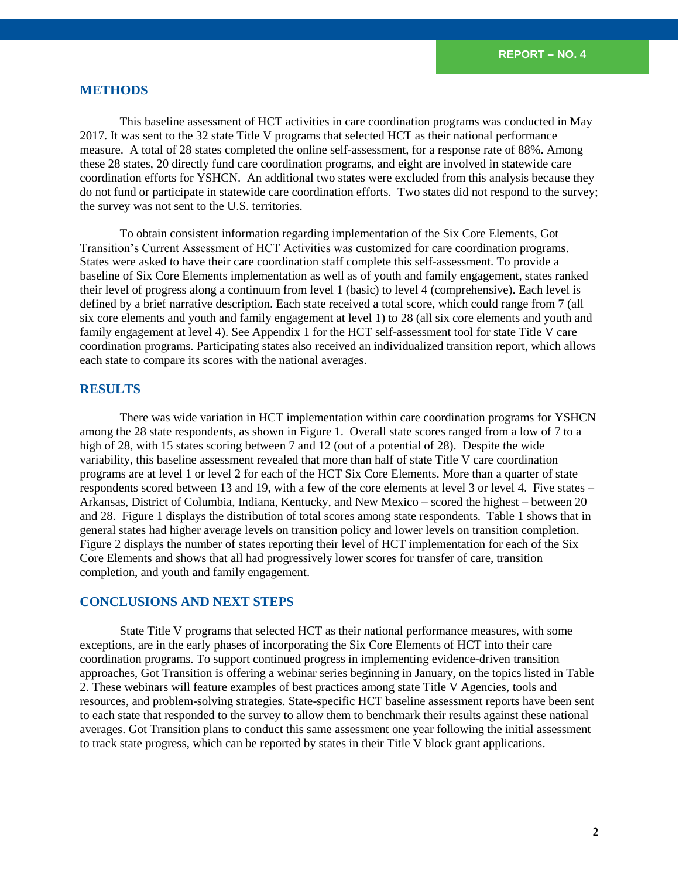# **METHODS**

This baseline assessment of HCT activities in care coordination programs was conducted in May 2017. It was sent to the 32 state Title V programs that selected HCT as their national performance measure. A total of 28 states completed the online self-assessment, for a response rate of 88%. Among these 28 states, 20 directly fund care coordination programs, and eight are involved in statewide care coordination efforts for YSHCN. An additional two states were excluded from this analysis because they do not fund or participate in statewide care coordination efforts. Two states did not respond to the survey; the survey was not sent to the U.S. territories.

To obtain consistent information regarding implementation of the Six Core Elements, Got Transition's Current Assessment of HCT Activities was customized for care coordination programs. States were asked to have their care coordination staff complete this self-assessment. To provide a baseline of Six Core Elements implementation as well as of youth and family engagement, states ranked their level of progress along a continuum from level 1 (basic) to level 4 (comprehensive). Each level is defined by a brief narrative description. Each state received a total score, which could range from 7 (all six core elements and youth and family engagement at level 1) to 28 (all six core elements and youth and family engagement at level 4). See Appendix 1 for the HCT self-assessment tool for state Title V care coordination programs. Participating states also received an individualized transition report, which allows each state to compare its scores with the national averages.

# **RESULTS**

There was wide variation in HCT implementation within care coordination programs for YSHCN among the 28 state respondents, as shown in Figure 1. Overall state scores ranged from a low of 7 to a high of 28, with 15 states scoring between 7 and 12 (out of a potential of 28). Despite the wide variability, this baseline assessment revealed that more than half of state Title V care coordination programs are at level 1 or level 2 for each of the HCT Six Core Elements. More than a quarter of state respondents scored between 13 and 19, with a few of the core elements at level 3 or level 4. Five states – Arkansas, District of Columbia, Indiana, Kentucky, and New Mexico – scored the highest – between 20 and 28. Figure 1 displays the distribution of total scores among state respondents. Table 1 shows that in general states had higher average levels on transition policy and lower levels on transition completion. Figure 2 displays the number of states reporting their level of HCT implementation for each of the Six Core Elements and shows that all had progressively lower scores for transfer of care, transition completion, and youth and family engagement.

### **CONCLUSIONS AND NEXT STEPS**

State Title V programs that selected HCT as their national performance measures, with some exceptions, are in the early phases of incorporating the Six Core Elements of HCT into their care coordination programs. To support continued progress in implementing evidence-driven transition approaches, Got Transition is offering a webinar series beginning in January, on the topics listed in Table 2. These webinars will feature examples of best practices among state Title V Agencies, tools and resources, and problem-solving strategies. State-specific HCT baseline assessment reports have been sent to each state that responded to the survey to allow them to benchmark their results against these national averages. Got Transition plans to conduct this same assessment one year following the initial assessment to track state progress, which can be reported by states in their Title V block grant applications.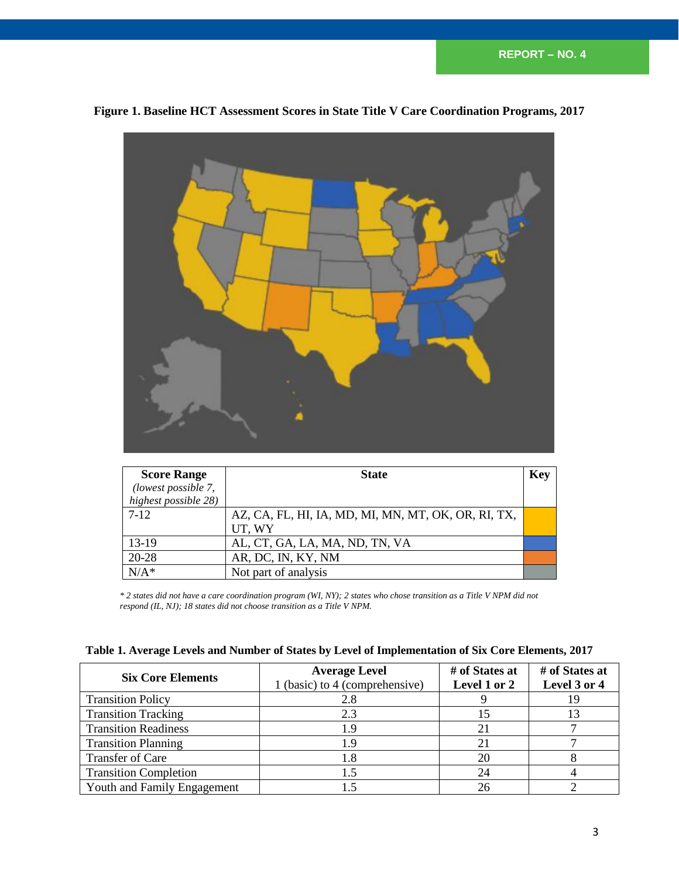

# **Figure 1. Baseline HCT Assessment Scores in State Title V Care Coordination Programs, 2017**

| <b>Score Range</b>   | <b>State</b>                                        | Key |
|----------------------|-----------------------------------------------------|-----|
| (lowest possible 7,  |                                                     |     |
| highest possible 28) |                                                     |     |
| $7 - 12$             | AZ, CA, FL, HI, IA, MD, MI, MN, MT, OK, OR, RI, TX, |     |
|                      | UT, WY                                              |     |
| $13-19$              | AL, CT, GA, LA, MA, ND, TN, VA                      |     |
| 20-28                | AR, DC, IN, KY, NM                                  |     |
| $N/A^*$              | Not part of analysis                                |     |

*\* 2 states did not have a care coordination program (WI, NY); 2 states who chose transition as a Title V NPM did not respond (IL, NJ); 18 states did not choose transition as a Title V NPM***.**

|  |  | Table 1. Average Levels and Number of States by Level of Implementation of Six Core Elements, 2017 |  |  |  |  |
|--|--|----------------------------------------------------------------------------------------------------|--|--|--|--|
|--|--|----------------------------------------------------------------------------------------------------|--|--|--|--|

| <b>Six Core Elements</b>     | <b>Average Level</b><br>1 (basic) to 4 (comprehensive) | # of States at<br>Level 1 or 2 | # of States at<br>Level 3 or 4 |
|------------------------------|--------------------------------------------------------|--------------------------------|--------------------------------|
| <b>Transition Policy</b>     | 2.8                                                    |                                | 19                             |
| <b>Transition Tracking</b>   | 2.3                                                    | 15                             |                                |
| <b>Transition Readiness</b>  | 19)                                                    |                                |                                |
| <b>Transition Planning</b>   |                                                        |                                |                                |
| Transfer of Care             |                                                        | 20                             |                                |
| <b>Transition Completion</b> |                                                        | 24                             |                                |
| Youth and Family Engagement  |                                                        | 26                             |                                |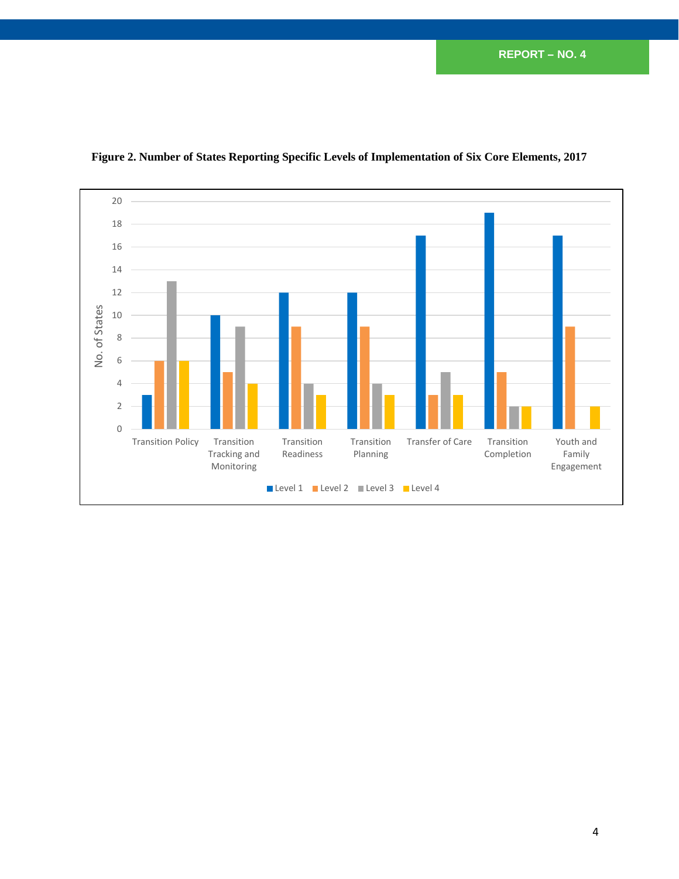**REPORT** – **NO. 4**



# **Figure 2. Number of States Reporting Specific Levels of Implementation of Six Core Elements, 2017**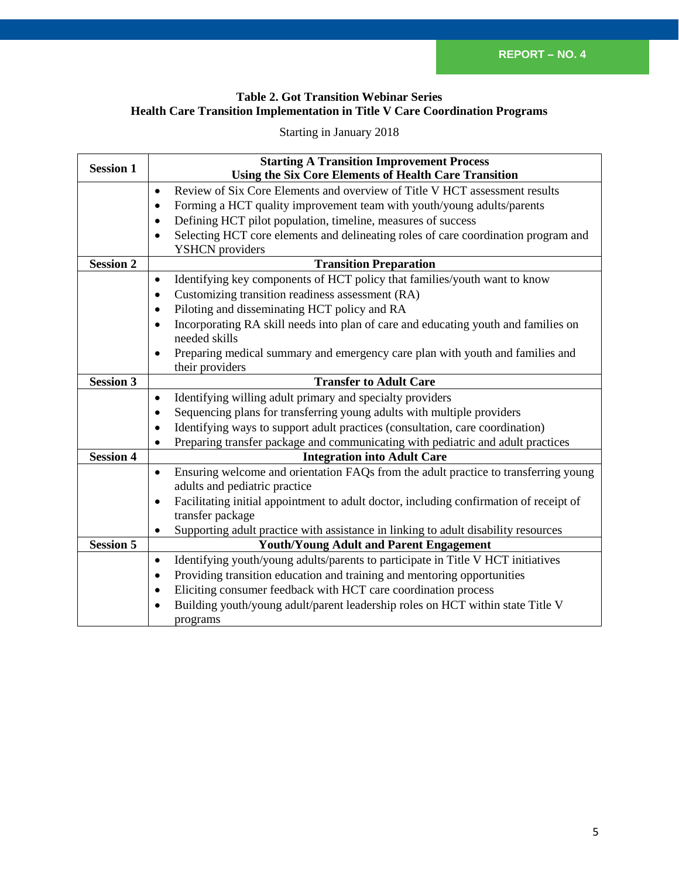# **Table 2. Got Transition Webinar Series Health Care Transition Implementation in Title V Care Coordination Programs**

Starting in January 2018

| <b>Session 1</b> | <b>Starting A Transition Improvement Process</b>                                                    |  |  |  |
|------------------|-----------------------------------------------------------------------------------------------------|--|--|--|
|                  | <b>Using the Six Core Elements of Health Care Transition</b>                                        |  |  |  |
|                  | Review of Six Core Elements and overview of Title V HCT assessment results<br>$\bullet$             |  |  |  |
|                  | Forming a HCT quality improvement team with youth/young adults/parents<br>$\bullet$                 |  |  |  |
|                  | Defining HCT pilot population, timeline, measures of success<br>$\bullet$                           |  |  |  |
|                  | Selecting HCT core elements and delineating roles of care coordination program and                  |  |  |  |
|                  | <b>YSHCN</b> providers                                                                              |  |  |  |
| <b>Session 2</b> | <b>Transition Preparation</b>                                                                       |  |  |  |
|                  | Identifying key components of HCT policy that families/youth want to know<br>$\bullet$              |  |  |  |
|                  | Customizing transition readiness assessment (RA)<br>$\bullet$                                       |  |  |  |
|                  | Piloting and disseminating HCT policy and RA<br>$\bullet$                                           |  |  |  |
|                  | Incorporating RA skill needs into plan of care and educating youth and families on<br>$\bullet$     |  |  |  |
|                  | needed skills                                                                                       |  |  |  |
|                  | Preparing medical summary and emergency care plan with youth and families and<br>$\bullet$          |  |  |  |
|                  | their providers                                                                                     |  |  |  |
| <b>Session 3</b> | <b>Transfer to Adult Care</b>                                                                       |  |  |  |
|                  | Identifying willing adult primary and specialty providers<br>$\bullet$                              |  |  |  |
|                  | Sequencing plans for transferring young adults with multiple providers<br>$\bullet$                 |  |  |  |
|                  | Identifying ways to support adult practices (consultation, care coordination)<br>$\bullet$          |  |  |  |
|                  | Preparing transfer package and communicating with pediatric and adult practices                     |  |  |  |
| <b>Session 4</b> | <b>Integration into Adult Care</b>                                                                  |  |  |  |
|                  | Ensuring welcome and orientation FAQs from the adult practice to transferring young<br>$\bullet$    |  |  |  |
|                  | adults and pediatric practice                                                                       |  |  |  |
|                  | Facilitating initial appointment to adult doctor, including confirmation of receipt of<br>$\bullet$ |  |  |  |
|                  | transfer package                                                                                    |  |  |  |
|                  | Supporting adult practice with assistance in linking to adult disability resources<br>$\bullet$     |  |  |  |
| <b>Session 5</b> | <b>Youth/Young Adult and Parent Engagement</b>                                                      |  |  |  |
|                  | Identifying youth/young adults/parents to participate in Title V HCT initiatives<br>$\bullet$       |  |  |  |
|                  | Providing transition education and training and mentoring opportunities<br>$\bullet$                |  |  |  |
|                  | Eliciting consumer feedback with HCT care coordination process<br>$\bullet$                         |  |  |  |
|                  | Building youth/young adult/parent leadership roles on HCT within state Title V<br>$\bullet$         |  |  |  |
|                  | programs                                                                                            |  |  |  |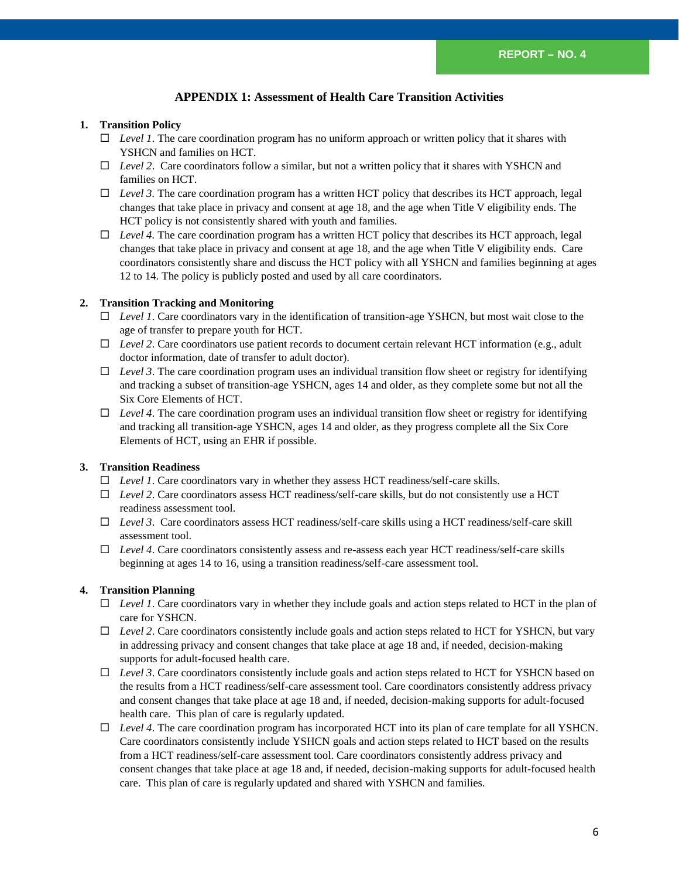# **APPENDIX 1: Assessment of Health Care Transition Activities**

#### **1. Transition Policy**

- *Level 1*. The care coordination program has no uniform approach or written policy that it shares with YSHCN and families on HCT.
- $\Box$  *Level 2*. Care coordinators follow a similar, but not a written policy that it shares with YSHCN and families on HCT.
- $\Box$  *Level 3.* The care coordination program has a written HCT policy that describes its HCT approach, legal changes that take place in privacy and consent at age 18, and the age when Title V eligibility ends. The HCT policy is not consistently shared with youth and families.
- $\Box$  *Level 4.* The care coordination program has a written HCT policy that describes its HCT approach, legal changes that take place in privacy and consent at age 18, and the age when Title V eligibility ends. Care coordinators consistently share and discuss the HCT policy with all YSHCN and families beginning at ages 12 to 14. The policy is publicly posted and used by all care coordinators.

#### **2. Transition Tracking and Monitoring**

- *Level 1*. Care coordinators vary in the identification of transition-age YSHCN, but most wait close to the age of transfer to prepare youth for HCT.
- *Level 2*. Care coordinators use patient records to document certain relevant HCT information (e.g., adult doctor information, date of transfer to adult doctor).
- $\Box$  *Level 3*. The care coordination program uses an individual transition flow sheet or registry for identifying and tracking a subset of transition-age YSHCN, ages 14 and older, as they complete some but not all the Six Core Elements of HCT.
- *Level 4*. The care coordination program uses an individual transition flow sheet or registry for identifying and tracking all transition-age YSHCN, ages 14 and older, as they progress complete all the Six Core Elements of HCT, using an EHR if possible.

#### **3. Transition Readiness**

- *Level 1*. Care coordinators vary in whether they assess HCT readiness/self-care skills.
- *Level 2*. Care coordinators assess HCT readiness/self-care skills, but do not consistently use a HCT readiness assessment tool.
- *Level 3*. Care coordinators assess HCT readiness/self-care skills using a HCT readiness/self-care skill assessment tool.
- *Level 4*. Care coordinators consistently assess and re-assess each year HCT readiness/self-care skills beginning at ages 14 to 16, using a transition readiness/self-care assessment tool.

#### **4. Transition Planning**

- *Level 1*. Care coordinators vary in whether they include goals and action steps related to HCT in the plan of care for YSHCN.
- $\Box$  *Level 2*. Care coordinators consistently include goals and action steps related to HCT for YSHCN, but vary in addressing privacy and consent changes that take place at age 18 and, if needed, decision-making supports for adult-focused health care.
- *Level 3*. Care coordinators consistently include goals and action steps related to HCT for YSHCN based on the results from a HCT readiness/self-care assessment tool. Care coordinators consistently address privacy and consent changes that take place at age 18 and, if needed, decision-making supports for adult-focused health care. This plan of care is regularly updated.
- *Level 4*. The care coordination program has incorporated HCT into its plan of care template for all YSHCN. Care coordinators consistently include YSHCN goals and action steps related to HCT based on the results from a HCT readiness/self-care assessment tool. Care coordinators consistently address privacy and consent changes that take place at age 18 and, if needed, decision-making supports for adult-focused health care. This plan of care is regularly updated and shared with YSHCN and families.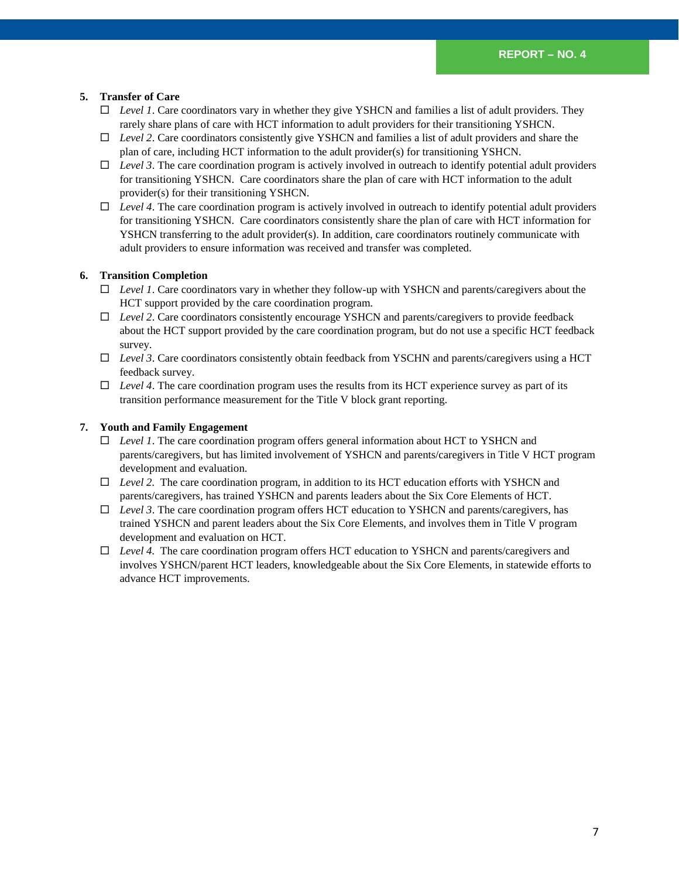#### **5. Transfer of Care**

- *Level 1*. Care coordinators vary in whether they give YSHCN and families a list of adult providers. They rarely share plans of care with HCT information to adult providers for their transitioning YSHCN.
- *Level 2*. Care coordinators consistently give YSHCN and families a list of adult providers and share the plan of care, including HCT information to the adult provider(s) for transitioning YSHCN.
- $\Box$  *Level 3*. The care coordination program is actively involved in outreach to identify potential adult providers for transitioning YSHCN. Care coordinators share the plan of care with HCT information to the adult provider(s) for their transitioning YSHCN.
- $\Box$  *Level 4*. The care coordination program is actively involved in outreach to identify potential adult providers for transitioning YSHCN. Care coordinators consistently share the plan of care with HCT information for YSHCN transferring to the adult provider(s). In addition, care coordinators routinely communicate with adult providers to ensure information was received and transfer was completed.

#### **6. Transition Completion**

- *Level 1*. Care coordinators vary in whether they follow-up with YSHCN and parents/caregivers about the HCT support provided by the care coordination program.
- *Level 2*. Care coordinators consistently encourage YSHCN and parents/caregivers to provide feedback about the HCT support provided by the care coordination program, but do not use a specific HCT feedback survey.
- *Level 3*. Care coordinators consistently obtain feedback from YSCHN and parents/caregivers using a HCT feedback survey.
- $\Box$  *Level 4*. The care coordination program uses the results from its HCT experience survey as part of its transition performance measurement for the Title V block grant reporting.

#### **7. Youth and Family Engagement**

- *Level 1*. The care coordination program offers general information about HCT to YSHCN and parents/caregivers, but has limited involvement of YSHCN and parents/caregivers in Title V HCT program development and evaluation.
- *Level 2.* The care coordination program, in addition to its HCT education efforts with YSHCN and parents/caregivers, has trained YSHCN and parents leaders about the Six Core Elements of HCT.
- *Level 3*. The care coordination program offers HCT education to YSHCN and parents/caregivers, has trained YSHCN and parent leaders about the Six Core Elements, and involves them in Title V program development and evaluation on HCT.
- *Level 4.* The care coordination program offers HCT education to YSHCN and parents/caregivers and involves YSHCN/parent HCT leaders, knowledgeable about the Six Core Elements, in statewide efforts to advance HCT improvements.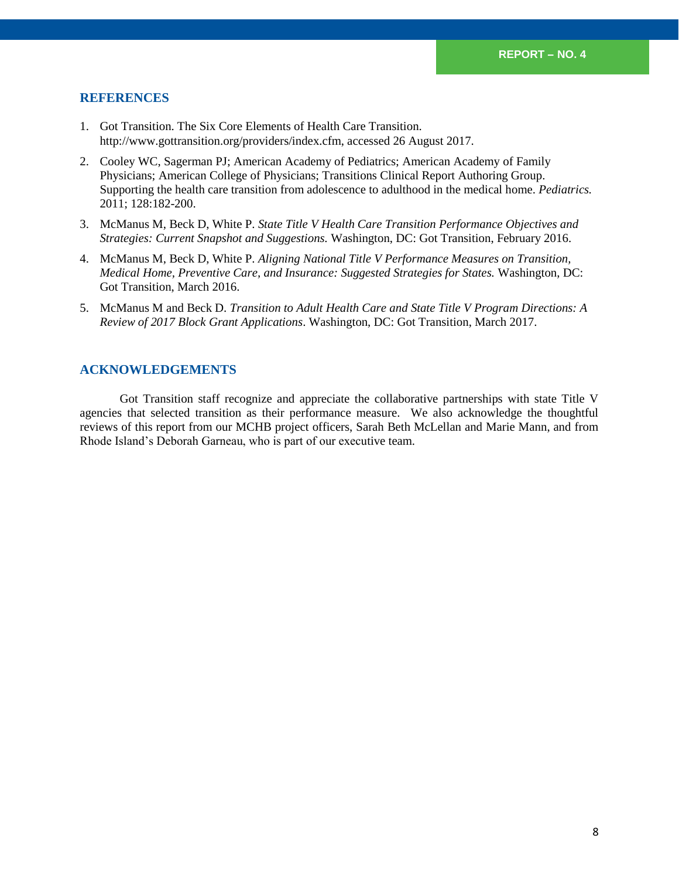# **REFERENCES**

- 1. Got Transition. The Six Core Elements of Health Care Transition. http://www.gottransition.org/providers/index.cfm, accessed 26 August 2017.
- 2. Cooley WC, Sagerman PJ; American Academy of Pediatrics; American Academy of Family Physicians; American College of Physicians; Transitions Clinical Report Authoring Group. Supporting the health care transition from adolescence to adulthood in the medical home. *Pediatrics.* 2011; 128:182-200.
- 3. McManus M, Beck D, White P. *State Title V Health Care Transition Performance Objectives and Strategies: Current Snapshot and Suggestions.* Washington, DC: Got Transition, February 2016.
- 4. McManus M, Beck D, White P. *Aligning National Title V Performance Measures on Transition, Medical Home, Preventive Care, and Insurance: Suggested Strategies for States.* Washington, DC: Got Transition, March 2016.
- 5. McManus M and Beck D. *Transition to Adult Health Care and State Title V Program Directions: A Review of 2017 Block Grant Applications*. Washington, DC: Got Transition, March 2017.

## **ACKNOWLEDGEMENTS**

Got Transition staff recognize and appreciate the collaborative partnerships with state Title V agencies that selected transition as their performance measure. We also acknowledge the thoughtful reviews of this report from our MCHB project officers, Sarah Beth McLellan and Marie Mann, and from Rhode Island's Deborah Garneau, who is part of our executive team.